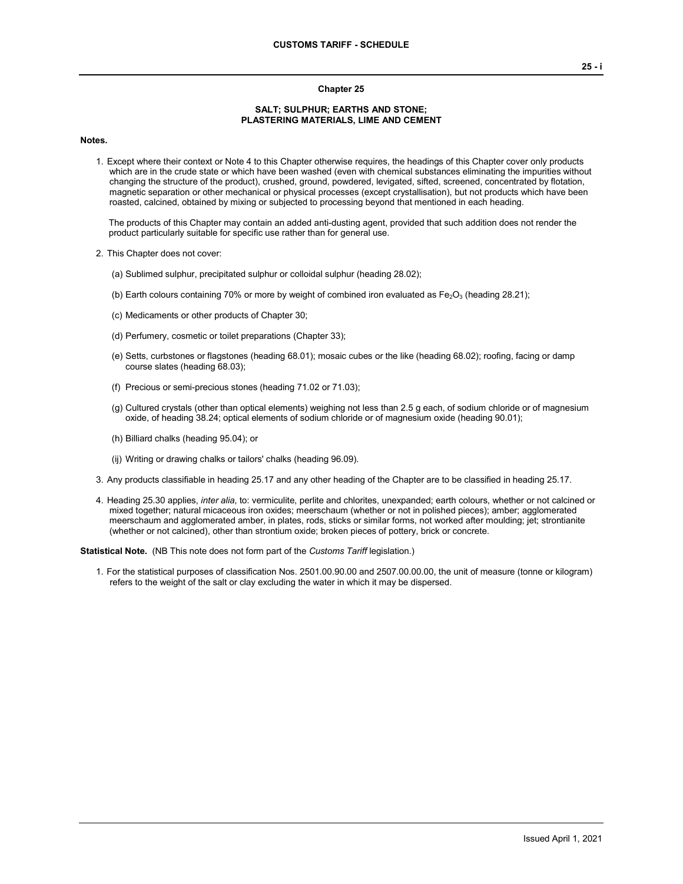## **Chapter 25**

## **SALT; SULPHUR; EARTHS AND STONE; PLASTERING MATERIALS, LIME AND CEMENT**

**Notes.**

1. Except where their context or Note 4 to this Chapter otherwise requires, the headings of this Chapter cover only products which are in the crude state or which have been washed (even with chemical substances eliminating the impurities without changing the structure of the product), crushed, ground, powdered, levigated, sifted, screened, concentrated by flotation, magnetic separation or other mechanical or physical processes (except crystallisation), but not products which have been roasted, calcined, obtained by mixing or subjected to processing beyond that mentioned in each heading.

The products of this Chapter may contain an added anti-dusting agent, provided that such addition does not render the product particularly suitable for specific use rather than for general use.

- 2. This Chapter does not cover:
	- (a) Sublimed sulphur, precipitated sulphur or colloidal sulphur (heading 28.02);
	- (b) Earth colours containing 70% or more by weight of combined iron evaluated as  $Fe<sub>2</sub>O<sub>3</sub>$  (heading 28.21);
	- (c) Medicaments or other products of Chapter 30;
	- (d) Perfumery, cosmetic or toilet preparations (Chapter 33);
	- (e) Setts, curbstones or flagstones (heading 68.01); mosaic cubes or the like (heading 68.02); roofing, facing or damp course slates (heading 68.03);
	- (f) Precious or semi-precious stones (heading 71.02 or 71.03);
	- (g) Cultured crystals (other than optical elements) weighing not less than 2.5 g each, of sodium chloride or of magnesium oxide, of heading 38.24; optical elements of sodium chloride or of magnesium oxide (heading 90.01);
	- (h) Billiard chalks (heading 95.04); or
	- (ij) Writing or drawing chalks or tailors' chalks (heading 96.09).
- 3. Any products classifiable in heading 25.17 and any other heading of the Chapter are to be classified in heading 25.17.
- 4. Heading 25.30 applies, *inter alia*, to: vermiculite, perlite and chlorites, unexpanded; earth colours, whether or not calcined or mixed together; natural micaceous iron oxides; meerschaum (whether or not in polished pieces); amber; agglomerated meerschaum and agglomerated amber, in plates, rods, sticks or similar forms, not worked after moulding; jet; strontianite (whether or not calcined), other than strontium oxide; broken pieces of pottery, brick or concrete.

**Statistical Note.** (NB This note does not form part of the *Customs Tariff* legislation.)

1. For the statistical purposes of classification Nos. 2501.00.90.00 and 2507.00.00.00, the unit of measure (tonne or kilogram) refers to the weight of the salt or clay excluding the water in which it may be dispersed.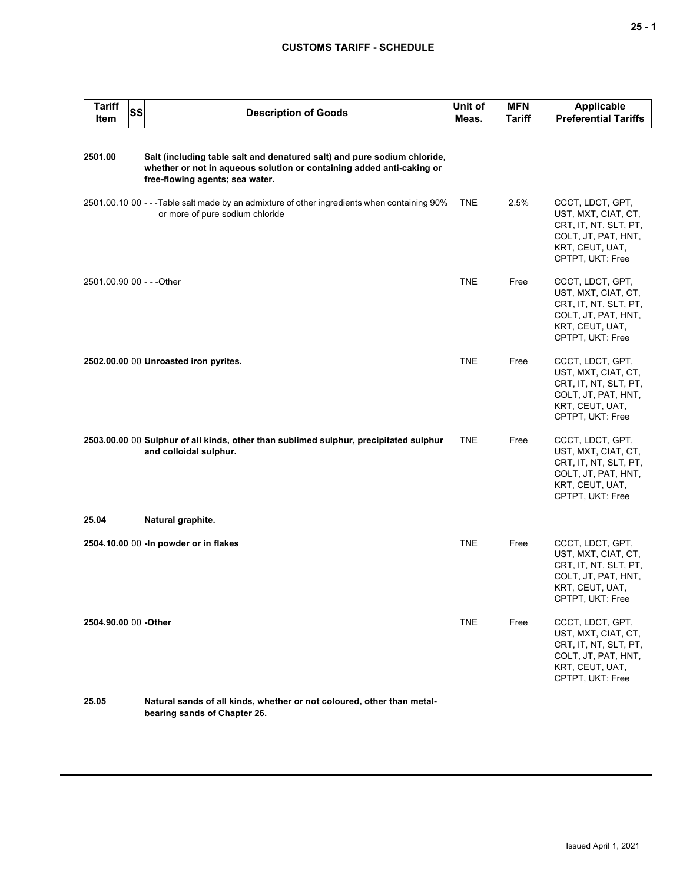## **CUSTOMS TARIFF - SCHEDULE**

| <b>Tariff</b><br>Item     | <b>SS</b> | <b>Description of Goods</b>                                                                                                                                                          | Unit of<br>Meas. | <b>MFN</b><br><b>Tariff</b> | Applicable<br><b>Preferential Tariffs</b>                                                                                      |
|---------------------------|-----------|--------------------------------------------------------------------------------------------------------------------------------------------------------------------------------------|------------------|-----------------------------|--------------------------------------------------------------------------------------------------------------------------------|
| 2501.00                   |           | Salt (including table salt and denatured salt) and pure sodium chloride,<br>whether or not in aqueous solution or containing added anti-caking or<br>free-flowing agents; sea water. |                  |                             |                                                                                                                                |
|                           |           | 2501.00.10 00 - - - Table salt made by an admixture of other ingredients when containing 90%<br>or more of pure sodium chloride                                                      | <b>TNE</b>       | 2.5%                        | CCCT, LDCT, GPT,<br>UST, MXT, CIAT, CT,<br>CRT, IT, NT, SLT, PT,<br>COLT, JT, PAT, HNT,<br>KRT, CEUT, UAT,<br>CPTPT, UKT: Free |
| 2501.00.90 00 - - - Other |           |                                                                                                                                                                                      | <b>TNE</b>       | Free                        | CCCT, LDCT, GPT,<br>UST, MXT, CIAT, CT,<br>CRT, IT, NT, SLT, PT,<br>COLT, JT, PAT, HNT,<br>KRT, CEUT, UAT,<br>CPTPT, UKT: Free |
|                           |           | 2502.00.00 00 Unroasted iron pyrites.                                                                                                                                                | TNE              | Free                        | CCCT, LDCT, GPT,<br>UST, MXT, CIAT, CT,<br>CRT, IT, NT, SLT, PT,<br>COLT, JT, PAT, HNT,<br>KRT, CEUT, UAT,<br>CPTPT, UKT: Free |
|                           |           | 2503.00.00 00 Sulphur of all kinds, other than sublimed sulphur, precipitated sulphur<br>and colloidal sulphur.                                                                      | <b>TNE</b>       | Free                        | CCCT, LDCT, GPT,<br>UST, MXT, CIAT, CT,<br>CRT, IT, NT, SLT, PT,<br>COLT, JT, PAT, HNT,<br>KRT, CEUT, UAT,<br>CPTPT, UKT: Free |
| 25.04                     |           | Natural graphite.                                                                                                                                                                    |                  |                             |                                                                                                                                |
|                           |           | 2504.10.00 00 - In powder or in flakes                                                                                                                                               | <b>TNE</b>       | Free                        | CCCT, LDCT, GPT,<br>UST, MXT, CIAT, CT,<br>CRT, IT, NT, SLT, PT,<br>COLT, JT, PAT, HNT,<br>KRT, CEUT, UAT,<br>CPTPT, UKT: Free |
| 2504.90.00 00 -Other      |           |                                                                                                                                                                                      | <b>TNE</b>       | Free                        | CCCT, LDCT, GPT,<br>UST, MXT, CIAT, CT,<br>CRT, IT, NT, SLT, PT,<br>COLT, JT, PAT, HNT,<br>KRT, CEUT, UAT,<br>CPTPT, UKT: Free |
|                           |           |                                                                                                                                                                                      |                  |                             |                                                                                                                                |

**25.05 Natural sands of all kinds, whether or not coloured, other than metalbearing sands of Chapter 26.**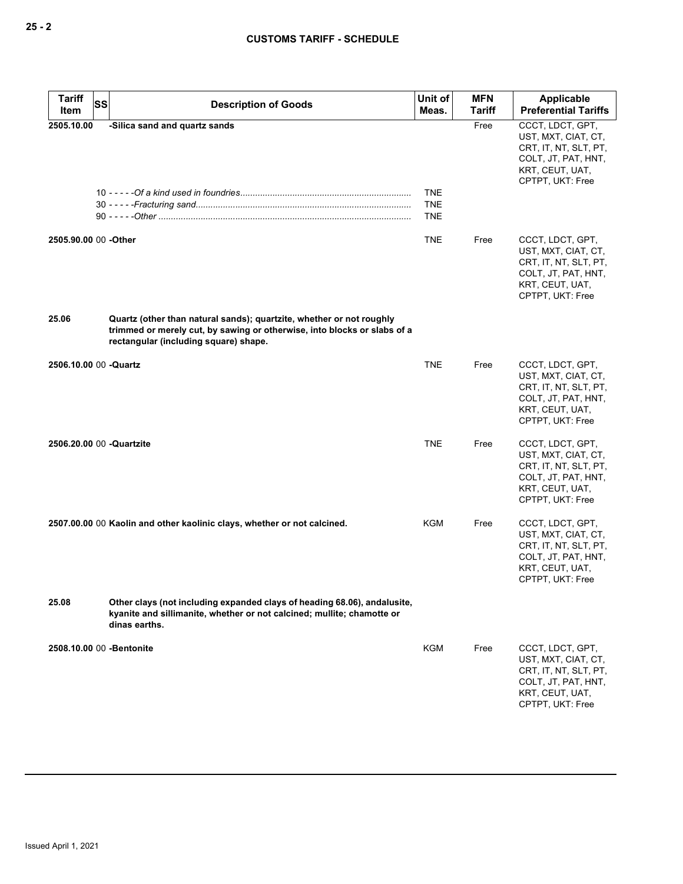| <b>Tariff</b><br>Item    | <b>SS</b><br><b>Description of Goods</b>                                                                                                                                                  | Unit of<br>Meas.                       | <b>MFN</b><br><b>Tariff</b> | Applicable<br><b>Preferential Tariffs</b>                                                                                      |
|--------------------------|-------------------------------------------------------------------------------------------------------------------------------------------------------------------------------------------|----------------------------------------|-----------------------------|--------------------------------------------------------------------------------------------------------------------------------|
| 2505.10.00               | -Silica sand and quartz sands                                                                                                                                                             | <b>TNE</b><br><b>TNE</b><br><b>TNE</b> | Free                        | CCCT, LDCT, GPT,<br>UST, MXT, CIAT, CT,<br>CRT, IT, NT, SLT, PT,<br>COLT, JT, PAT, HNT,<br>KRT, CEUT, UAT,<br>CPTPT, UKT: Free |
| 2505.90.00 00 -Other     |                                                                                                                                                                                           | <b>TNE</b>                             | Free                        | CCCT, LDCT, GPT,<br>UST, MXT, CIAT, CT,<br>CRT, IT, NT, SLT, PT,<br>COLT, JT, PAT, HNT,<br>KRT, CEUT, UAT,<br>CPTPT, UKT: Free |
| 25.06                    | Quartz (other than natural sands); quartzite, whether or not roughly<br>trimmed or merely cut, by sawing or otherwise, into blocks or slabs of a<br>rectangular (including square) shape. |                                        |                             |                                                                                                                                |
| 2506.10.00 00 -Quartz    |                                                                                                                                                                                           | <b>TNE</b>                             | Free                        | CCCT, LDCT, GPT,<br>UST, MXT, CIAT, CT,<br>CRT, IT, NT, SLT, PT,<br>COLT, JT, PAT, HNT,<br>KRT, CEUT, UAT,<br>CPTPT, UKT: Free |
| 2506.20.00 00 -Quartzite |                                                                                                                                                                                           | <b>TNE</b>                             | Free                        | CCCT, LDCT, GPT,<br>UST, MXT, CIAT, CT,<br>CRT, IT, NT, SLT, PT,<br>COLT, JT, PAT, HNT,<br>KRT, CEUT, UAT,<br>CPTPT, UKT: Free |
|                          | 2507.00.00 00 Kaolin and other kaolinic clays, whether or not calcined.                                                                                                                   | KGM                                    | Free                        | CCCT, LDCT, GPT,<br>UST, MXT, CIAT, CT,<br>CRT, IT, NT, SLT, PT,<br>COLT, JT, PAT, HNT,<br>KRT, CEUT, UAT,<br>CPTPT, UKT: Free |
| 25.08                    | Other clays (not including expanded clays of heading 68.06), andalusite,<br>kyanite and sillimanite, whether or not calcined; mullite; chamotte or<br>dinas earths.                       |                                        |                             |                                                                                                                                |
|                          | 2508.10.00 00 -Bentonite                                                                                                                                                                  | KGM                                    | Free                        | CCCT, LDCT, GPT,<br>UST, MXT, CIAT, CT,<br>CRT, IT, NT, SLT, PT,<br>COLT, JT, PAT, HNT,<br>KRT, CEUT, UAT,<br>CPTPT, UKT: Free |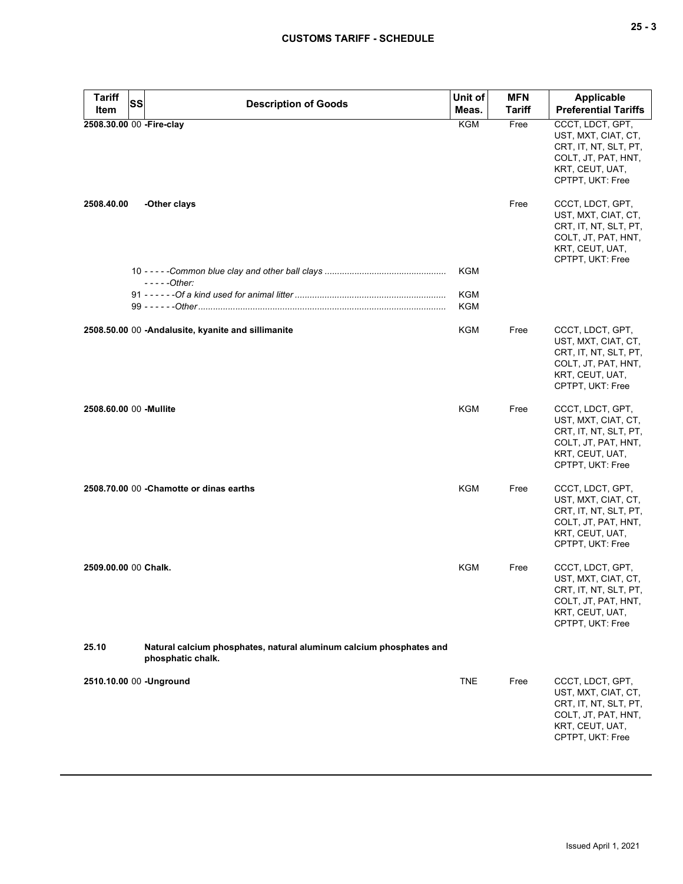| <b>Tariff</b>        | SS<br><b>Description of Goods</b>                                                        | Unit of                  | <b>MFN</b>    | <b>Applicable</b>                                                                                                              |
|----------------------|------------------------------------------------------------------------------------------|--------------------------|---------------|--------------------------------------------------------------------------------------------------------------------------------|
| Item                 |                                                                                          | Meas.                    | <b>Tariff</b> | <b>Preferential Tariffs</b>                                                                                                    |
|                      | 2508.30.00 00 -Fire-clay                                                                 | <b>KGM</b>               | Free          | CCCT, LDCT, GPT,<br>UST, MXT, CIAT, CT,<br>CRT, IT, NT, SLT, PT,<br>COLT, JT, PAT, HNT,<br>KRT, CEUT, UAT,<br>CPTPT, UKT: Free |
| 2508.40.00           | -Other clays                                                                             |                          | Free          | CCCT, LDCT, GPT,<br>UST, MXT, CIAT, CT,<br>CRT, IT, NT, SLT, PT,<br>COLT, JT, PAT, HNT,<br>KRT, CEUT, UAT,<br>CPTPT, UKT: Free |
|                      | $---Other:$                                                                              | <b>KGM</b>               |               |                                                                                                                                |
|                      |                                                                                          | <b>KGM</b><br><b>KGM</b> |               |                                                                                                                                |
|                      | 2508.50.00 00 -Andalusite, kyanite and sillimanite                                       | <b>KGM</b>               | Free          | CCCT, LDCT, GPT,<br>UST, MXT, CIAT, CT,<br>CRT, IT, NT, SLT, PT,<br>COLT, JT, PAT, HNT,<br>KRT, CEUT, UAT,<br>CPTPT, UKT: Free |
|                      | 2508.60.00 00 -Mullite                                                                   | <b>KGM</b>               | Free          | CCCT, LDCT, GPT,<br>UST, MXT, CIAT, CT,<br>CRT, IT, NT, SLT, PT,<br>COLT, JT, PAT, HNT,<br>KRT, CEUT, UAT,<br>CPTPT, UKT: Free |
|                      | 2508.70.00 00 - Chamotte or dinas earths                                                 | <b>KGM</b>               | Free          | CCCT, LDCT, GPT,<br>UST, MXT, CIAT, CT,<br>CRT, IT, NT, SLT, PT,<br>COLT, JT, PAT, HNT,<br>KRT, CEUT, UAT,<br>CPTPT, UKT: Free |
| 2509.00.00 00 Chalk. |                                                                                          | <b>KGM</b>               | Free          | CCCT, LDCT, GPT,<br>UST, MXT, CIAT, CT,<br>CRT, IT, NT, SLT, PT,<br>COLT, JT, PAT, HNT,<br>KRT, CEUT, UAT,<br>CPTPT, UKT: Free |
| 25.10                | Natural calcium phosphates, natural aluminum calcium phosphates and<br>phosphatic chalk. |                          |               |                                                                                                                                |
|                      | 2510.10.00 00 -Unground                                                                  | <b>TNE</b>               | Free          | CCCT, LDCT, GPT,<br>UST, MXT, CIAT, CT,<br>CRT, IT, NT, SLT, PT,<br>COLT, JT, PAT, HNT,<br>KRT, CEUT, UAT,<br>CPTPT, UKT: Free |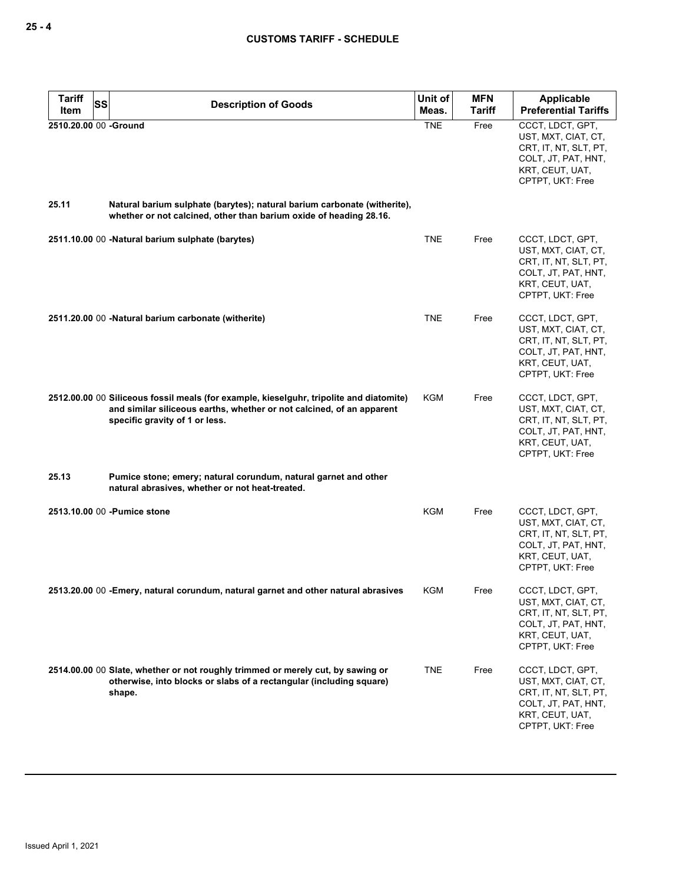| <b>Tariff</b><br>SS<br>Item    | <b>Description of Goods</b>                                                                                                                                                                        | Unit of<br>Meas. | <b>MFN</b><br><b>Tariff</b> | Applicable<br><b>Preferential Tariffs</b>                                                                                      |
|--------------------------------|----------------------------------------------------------------------------------------------------------------------------------------------------------------------------------------------------|------------------|-----------------------------|--------------------------------------------------------------------------------------------------------------------------------|
| 2510.20.00 00 -Ground<br>25.11 | Natural barium sulphate (barytes); natural barium carbonate (witherite),                                                                                                                           | <b>TNE</b>       | Free                        | CCCT, LDCT, GPT,<br>UST, MXT, CIAT, CT,<br>CRT, IT, NT, SLT, PT,<br>COLT, JT, PAT, HNT,<br>KRT, CEUT, UAT,<br>CPTPT, UKT: Free |
|                                | whether or not calcined, other than barium oxide of heading 28.16.                                                                                                                                 |                  |                             |                                                                                                                                |
|                                | 2511.10.00 00 -Natural barium sulphate (barytes)                                                                                                                                                   | <b>TNE</b>       | Free                        | CCCT, LDCT, GPT,<br>UST, MXT, CIAT, CT,<br>CRT, IT, NT, SLT, PT,<br>COLT, JT, PAT, HNT,<br>KRT, CEUT, UAT,<br>CPTPT, UKT: Free |
|                                | 2511.20.00 00 -Natural barium carbonate (witherite)                                                                                                                                                | <b>TNE</b>       | Free                        | CCCT, LDCT, GPT,<br>UST, MXT, CIAT, CT,<br>CRT, IT, NT, SLT, PT,<br>COLT, JT, PAT, HNT,<br>KRT, CEUT, UAT,<br>CPTPT, UKT: Free |
|                                | 2512.00.00 00 Siliceous fossil meals (for example, kieselguhr, tripolite and diatomite)<br>and similar siliceous earths, whether or not calcined, of an apparent<br>specific gravity of 1 or less. | KGM              | Free                        | CCCT, LDCT, GPT,<br>UST, MXT, CIAT, CT,<br>CRT, IT, NT, SLT, PT,<br>COLT, JT, PAT, HNT,<br>KRT, CEUT, UAT,<br>CPTPT, UKT: Free |
| 25.13                          | Pumice stone; emery; natural corundum, natural garnet and other<br>natural abrasives, whether or not heat-treated.                                                                                 |                  |                             |                                                                                                                                |
|                                | 2513.10.00 00 - Pumice stone                                                                                                                                                                       | <b>KGM</b>       | Free                        | CCCT, LDCT, GPT,<br>UST, MXT, CIAT, CT,<br>CRT, IT, NT, SLT, PT,<br>COLT, JT, PAT, HNT,<br>KRT, CEUT, UAT,<br>CPTPT, UKT: Free |
|                                | 2513.20.00 00 -Emery, natural corundum, natural garnet and other natural abrasives                                                                                                                 | KGM              | Free                        | CCCT, LDCT, GPT,<br>UST, MXT, CIAT, CT,<br>CRT, IT, NT, SLT, PT,<br>COLT, JT, PAT, HNT,<br>KRT, CEUT, UAT,<br>CPTPT, UKT: Free |
|                                | 2514.00.00 00 Slate, whether or not roughly trimmed or merely cut, by sawing or<br>otherwise, into blocks or slabs of a rectangular (including square)<br>shape.                                   | <b>TNE</b>       | Free                        | CCCT, LDCT, GPT,<br>UST, MXT, CIAT, CT,<br>CRT, IT, NT, SLT, PT,<br>COLT, JT, PAT, HNT,<br>KRT, CEUT, UAT,<br>CPTPT, UKT: Free |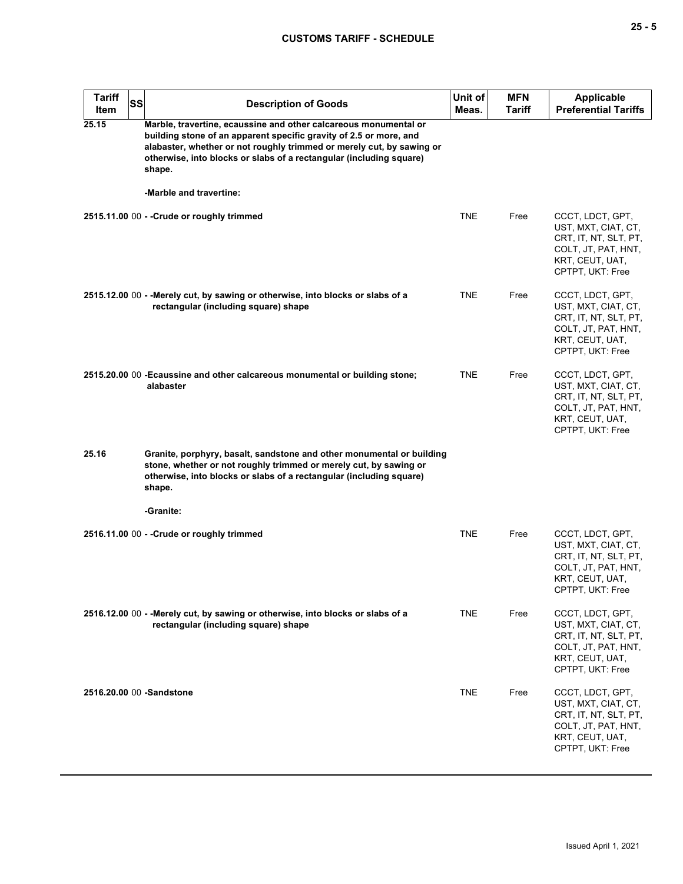| <b>Tariff</b><br>Item | <b>SS</b> | <b>Description of Goods</b>                                                                                                                                                                                                                                                                                                 | Unit of<br>Meas. | <b>MFN</b><br>Tariff | <b>Applicable</b><br><b>Preferential Tariffs</b>                                                                               |
|-----------------------|-----------|-----------------------------------------------------------------------------------------------------------------------------------------------------------------------------------------------------------------------------------------------------------------------------------------------------------------------------|------------------|----------------------|--------------------------------------------------------------------------------------------------------------------------------|
| 25.15                 |           | Marble, travertine, ecaussine and other calcareous monumental or<br>building stone of an apparent specific gravity of 2.5 or more, and<br>alabaster, whether or not roughly trimmed or merely cut, by sawing or<br>otherwise, into blocks or slabs of a rectangular (including square)<br>shape.<br>-Marble and travertine: |                  |                      |                                                                                                                                |
|                       |           | 2515.11.00 00 - - Crude or roughly trimmed                                                                                                                                                                                                                                                                                  | <b>TNE</b>       | Free                 | CCCT, LDCT, GPT,                                                                                                               |
|                       |           |                                                                                                                                                                                                                                                                                                                             |                  |                      | UST, MXT, CIAT, CT,<br>CRT, IT, NT, SLT, PT,<br>COLT, JT, PAT, HNT,<br>KRT, CEUT, UAT,<br>CPTPT, UKT: Free                     |
|                       |           | 2515.12.00 00 - - Merely cut, by sawing or otherwise, into blocks or slabs of a<br>rectangular (including square) shape                                                                                                                                                                                                     | <b>TNE</b>       | Free                 | CCCT, LDCT, GPT,<br>UST, MXT, CIAT, CT,<br>CRT, IT, NT, SLT, PT,<br>COLT, JT, PAT, HNT,<br>KRT, CEUT, UAT,<br>CPTPT, UKT: Free |
|                       |           | 2515.20.00 00 - Ecaussine and other calcareous monumental or building stone;<br>alabaster                                                                                                                                                                                                                                   | <b>TNE</b>       | Free                 | CCCT, LDCT, GPT,<br>UST, MXT, CIAT, CT,<br>CRT, IT, NT, SLT, PT,<br>COLT, JT, PAT, HNT,<br>KRT, CEUT, UAT,<br>CPTPT, UKT: Free |
| 25.16                 |           | Granite, porphyry, basalt, sandstone and other monumental or building<br>stone, whether or not roughly trimmed or merely cut, by sawing or<br>otherwise, into blocks or slabs of a rectangular (including square)<br>shape.                                                                                                 |                  |                      |                                                                                                                                |
|                       |           | -Granite:                                                                                                                                                                                                                                                                                                                   |                  |                      |                                                                                                                                |
|                       |           | 2516.11.00 00 - - Crude or roughly trimmed                                                                                                                                                                                                                                                                                  | <b>TNE</b>       | Free                 | CCCT, LDCT, GPT,<br>UST, MXT, CIAT, CT,<br>CRT, IT, NT, SLT, PT,<br>COLT, JT, PAT, HNT,<br>KRT, CEUT, UAT,<br>CPTPT, UKT: Free |
|                       |           | 2516.12.00 00 - - Merely cut, by sawing or otherwise, into blocks or slabs of a<br>rectangular (including square) shape                                                                                                                                                                                                     | TNE              | Free                 | CCCT, LDCT, GPT,<br>UST, MXT, CIAT, CT,<br>CRT, IT, NT, SLT, PT,<br>COLT, JT, PAT, HNT,<br>KRT, CEUT, UAT,<br>CPTPT, UKT: Free |
|                       |           | 2516.20.00 00 -Sandstone                                                                                                                                                                                                                                                                                                    | <b>TNE</b>       | Free                 | CCCT, LDCT, GPT,<br>UST, MXT, CIAT, CT,<br>CRT, IT, NT, SLT, PT,<br>COLT, JT, PAT, HNT,<br>KRT, CEUT, UAT,<br>CPTPT, UKT: Free |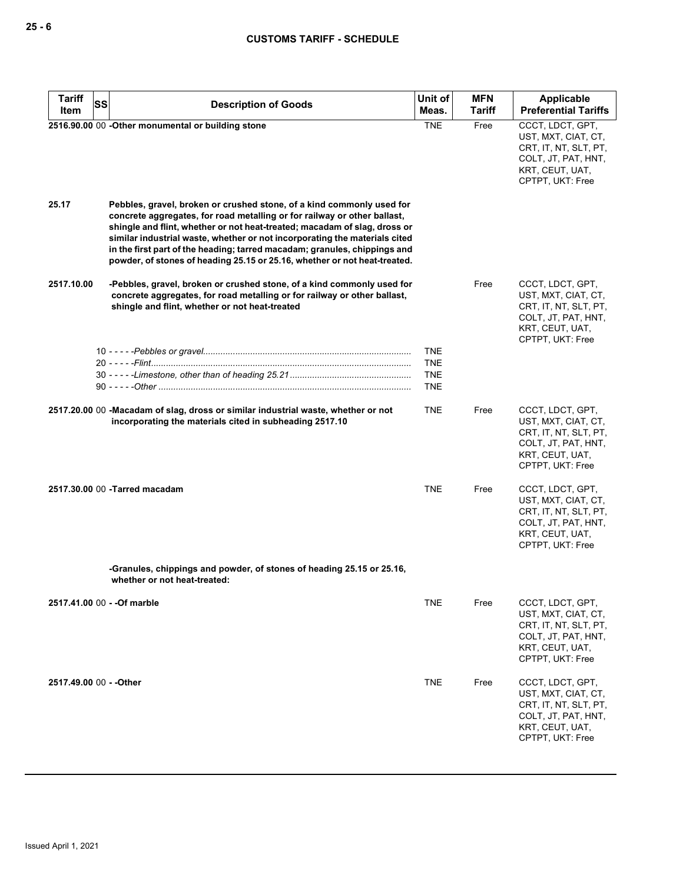| <b>Tariff</b><br>SS         | <b>Description of Goods</b>                                                                                                                                                                                                                                                                                                                                                                                                                                            | Unit of                  | <b>MFN</b>    | <b>Applicable</b>                                                                                                              |
|-----------------------------|------------------------------------------------------------------------------------------------------------------------------------------------------------------------------------------------------------------------------------------------------------------------------------------------------------------------------------------------------------------------------------------------------------------------------------------------------------------------|--------------------------|---------------|--------------------------------------------------------------------------------------------------------------------------------|
| Item                        |                                                                                                                                                                                                                                                                                                                                                                                                                                                                        | Meas.                    | <b>Tariff</b> | <b>Preferential Tariffs</b>                                                                                                    |
|                             | 2516.90.00 00 -Other monumental or building stone                                                                                                                                                                                                                                                                                                                                                                                                                      | <b>TNE</b>               | Free          | CCCT, LDCT, GPT,<br>UST, MXT, CIAT, CT,<br>CRT, IT, NT, SLT, PT,<br>COLT, JT, PAT, HNT,<br>KRT, CEUT, UAT,<br>CPTPT, UKT: Free |
| 25.17                       | Pebbles, gravel, broken or crushed stone, of a kind commonly used for<br>concrete aggregates, for road metalling or for railway or other ballast,<br>shingle and flint, whether or not heat-treated; macadam of slag, dross or<br>similar industrial waste, whether or not incorporating the materials cited<br>in the first part of the heading; tarred macadam; granules, chippings and<br>powder, of stones of heading 25.15 or 25.16, whether or not heat-treated. |                          |               |                                                                                                                                |
| 2517.10.00                  | -Pebbles, gravel, broken or crushed stone, of a kind commonly used for<br>concrete aggregates, for road metalling or for railway or other ballast,<br>shingle and flint, whether or not heat-treated                                                                                                                                                                                                                                                                   |                          | Free          | CCCT, LDCT, GPT,<br>UST, MXT, CIAT, CT,<br>CRT, IT, NT, SLT, PT,<br>COLT, JT, PAT, HNT,<br>KRT, CEUT, UAT,<br>CPTPT, UKT: Free |
|                             |                                                                                                                                                                                                                                                                                                                                                                                                                                                                        | <b>TNE</b><br><b>TNE</b> |               |                                                                                                                                |
|                             |                                                                                                                                                                                                                                                                                                                                                                                                                                                                        | <b>TNE</b>               |               |                                                                                                                                |
|                             |                                                                                                                                                                                                                                                                                                                                                                                                                                                                        | TNE                      |               |                                                                                                                                |
|                             | 2517.20.00 00 -Macadam of slag, dross or similar industrial waste, whether or not<br>incorporating the materials cited in subheading 2517.10                                                                                                                                                                                                                                                                                                                           | <b>TNE</b>               | Free          | CCCT, LDCT, GPT,<br>UST, MXT, CIAT, CT,<br>CRT, IT, NT, SLT, PT,<br>COLT, JT, PAT, HNT,<br>KRT, CEUT, UAT,<br>CPTPT, UKT: Free |
|                             | 2517.30.00 00 - Tarred macadam                                                                                                                                                                                                                                                                                                                                                                                                                                         | <b>TNE</b>               | Free          | CCCT, LDCT, GPT,<br>UST, MXT, CIAT, CT,<br>CRT, IT, NT, SLT, PT,<br>COLT, JT, PAT, HNT,<br>KRT, CEUT, UAT,<br>CPTPT, UKT: Free |
|                             | -Granules, chippings and powder, of stones of heading 25.15 or 25.16,<br>whether or not heat-treated:                                                                                                                                                                                                                                                                                                                                                                  |                          |               |                                                                                                                                |
| 2517.41.00 00 - - Of marble |                                                                                                                                                                                                                                                                                                                                                                                                                                                                        | TNE                      | Free          | CCCT, LDCT, GPT,<br>UST, MXT, CIAT, CT,<br>CRT, IT, NT, SLT, PT,<br>COLT, JT, PAT, HNT,<br>KRT, CEUT, UAT,<br>CPTPT, UKT: Free |
| 2517.49.00 00 - - Other     |                                                                                                                                                                                                                                                                                                                                                                                                                                                                        | TNE                      | Free          | CCCT, LDCT, GPT,<br>UST, MXT, CIAT, CT,<br>CRT, IT, NT, SLT, PT,<br>COLT, JT, PAT, HNT,<br>KRT, CEUT, UAT,<br>CPTPT, UKT: Free |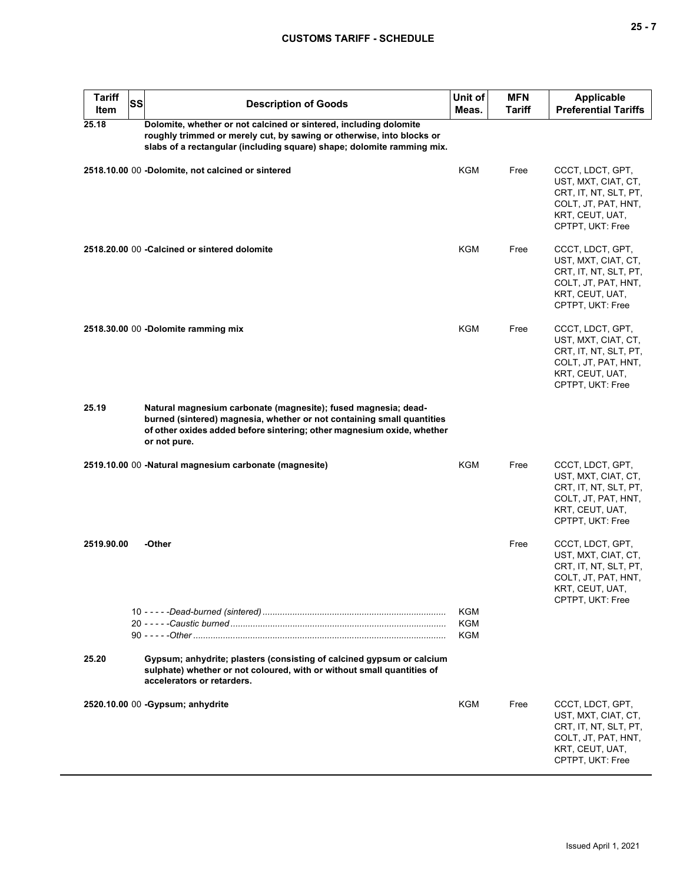## **CUSTOMS TARIFF - SCHEDULE**

| <b>Tariff</b><br>Item | SS | <b>Description of Goods</b>                                                                                                                                                                                                        | Unit of<br>Meas. | <b>MFN</b><br>Tariff | <b>Applicable</b><br><b>Preferential Tariffs</b>                                                                               |
|-----------------------|----|------------------------------------------------------------------------------------------------------------------------------------------------------------------------------------------------------------------------------------|------------------|----------------------|--------------------------------------------------------------------------------------------------------------------------------|
| 25.18                 |    | Dolomite, whether or not calcined or sintered, including dolomite<br>roughly trimmed or merely cut, by sawing or otherwise, into blocks or<br>slabs of a rectangular (including square) shape; dolomite ramming mix.               |                  |                      |                                                                                                                                |
|                       |    | 2518.10.00 00 -Dolomite, not calcined or sintered                                                                                                                                                                                  | KGM              | Free                 | CCCT, LDCT, GPT,<br>UST, MXT, CIAT, CT,<br>CRT, IT, NT, SLT, PT,<br>COLT, JT, PAT, HNT,<br>KRT, CEUT, UAT,<br>CPTPT, UKT: Free |
|                       |    | 2518.20.00 00 - Calcined or sintered dolomite                                                                                                                                                                                      | <b>KGM</b>       | Free                 | CCCT, LDCT, GPT,<br>UST, MXT, CIAT, CT,<br>CRT, IT, NT, SLT, PT,<br>COLT, JT, PAT, HNT,<br>KRT, CEUT, UAT,<br>CPTPT, UKT: Free |
|                       |    | 2518.30.00 00 -Dolomite ramming mix                                                                                                                                                                                                | <b>KGM</b>       | Free                 | CCCT, LDCT, GPT,<br>UST, MXT, CIAT, CT,<br>CRT, IT, NT, SLT, PT,<br>COLT, JT, PAT, HNT,<br>KRT, CEUT, UAT,<br>CPTPT, UKT: Free |
| 25.19                 |    | Natural magnesium carbonate (magnesite); fused magnesia; dead-<br>burned (sintered) magnesia, whether or not containing small quantities<br>of other oxides added before sintering; other magnesium oxide, whether<br>or not pure. |                  |                      |                                                                                                                                |
|                       |    | 2519.10.00 00 -Natural magnesium carbonate (magnesite)                                                                                                                                                                             | KGM              | Free                 | CCCT, LDCT, GPT,<br>UST, MXT, CIAT, CT,<br>CRT, IT, NT, SLT, PT,<br>COLT, JT, PAT, HNT,<br>KRT, CEUT, UAT,<br>CPTPT, UKT: Free |
| 2519.90.00            |    | -Other                                                                                                                                                                                                                             |                  | Free                 | CCCT, LDCT, GPT,<br>UST, MXT, CIAT, CT,<br>CRT, IT, NT, SLT, PT,<br>COLT, JT, PAT, HNT,<br>KRT, CEUT, UAT,<br>CPTPT, UKT: Free |
|                       |    |                                                                                                                                                                                                                                    | KGM<br>KGM       |                      |                                                                                                                                |
|                       |    |                                                                                                                                                                                                                                    | <b>KGM</b>       |                      |                                                                                                                                |
| 25.20                 |    | Gypsum; anhydrite; plasters (consisting of calcined gypsum or calcium<br>sulphate) whether or not coloured, with or without small quantities of<br>accelerators or retarders.                                                      |                  |                      |                                                                                                                                |
|                       |    | 2520.10.00 00 - Gypsum; anhydrite                                                                                                                                                                                                  | KGM              | Free                 | CCCT, LDCT, GPT,<br>UST, MXT, CIAT, CT,<br>CRT, IT, NT, SLT, PT,<br>COLT, JT, PAT, HNT,<br>KRT, CEUT, UAT,<br>CPTPT, UKT: Free |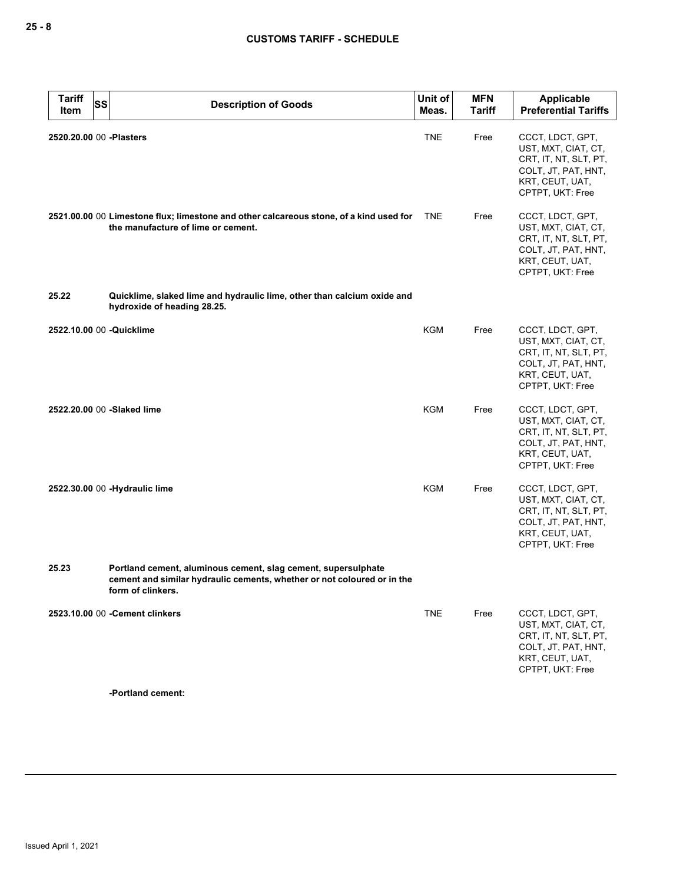| <b>Tariff</b><br><b>SS</b><br>Item | <b>Description of Goods</b>                                                                                                                                   | Unit of<br>Meas. | <b>MFN</b><br><b>Tariff</b> | Applicable<br><b>Preferential Tariffs</b>                                                                                      |
|------------------------------------|---------------------------------------------------------------------------------------------------------------------------------------------------------------|------------------|-----------------------------|--------------------------------------------------------------------------------------------------------------------------------|
| 2520.20.00 00 -Plasters            |                                                                                                                                                               | <b>TNE</b>       | Free                        | CCCT, LDCT, GPT,<br>UST, MXT, CIAT, CT,<br>CRT, IT, NT, SLT, PT,<br>COLT, JT, PAT, HNT,<br>KRT, CEUT, UAT,<br>CPTPT, UKT: Free |
|                                    | 2521.00.00 00 Limestone flux; limestone and other calcareous stone, of a kind used for<br>the manufacture of lime or cement.                                  | <b>TNE</b>       | Free                        | CCCT, LDCT, GPT,<br>UST, MXT, CIAT, CT,<br>CRT, IT, NT, SLT, PT,<br>COLT, JT, PAT, HNT,<br>KRT, CEUT, UAT,<br>CPTPT, UKT: Free |
| 25.22                              | Quicklime, slaked lime and hydraulic lime, other than calcium oxide and<br>hydroxide of heading 28.25.                                                        |                  |                             |                                                                                                                                |
| 2522.10.00 00 -Quicklime           |                                                                                                                                                               | <b>KGM</b>       | Free                        | CCCT, LDCT, GPT,<br>UST, MXT, CIAT, CT,<br>CRT, IT, NT, SLT, PT,<br>COLT, JT, PAT, HNT,<br>KRT, CEUT, UAT,<br>CPTPT, UKT: Free |
|                                    | 2522.20.00 00 -Slaked lime                                                                                                                                    | KGM              | Free                        | CCCT, LDCT, GPT,<br>UST, MXT, CIAT, CT,<br>CRT, IT, NT, SLT, PT,<br>COLT, JT, PAT, HNT,<br>KRT, CEUT, UAT,<br>CPTPT, UKT: Free |
|                                    | 2522.30.00 00 -Hydraulic lime                                                                                                                                 | <b>KGM</b>       | Free                        | CCCT, LDCT, GPT,<br>UST, MXT, CIAT, CT,<br>CRT, IT, NT, SLT, PT,<br>COLT, JT, PAT, HNT,<br>KRT, CEUT, UAT,<br>CPTPT, UKT: Free |
| 25.23                              | Portland cement, aluminous cement, slag cement, supersulphate<br>cement and similar hydraulic cements, whether or not coloured or in the<br>form of clinkers. |                  |                             |                                                                                                                                |
|                                    | 2523.10.00 00 - Cement clinkers                                                                                                                               | <b>TNE</b>       | Free                        | CCCT, LDCT, GPT,<br>UST, MXT, CIAT, CT,<br>CRT, IT, NT, SLT, PT,<br>COLT, JT, PAT, HNT,<br>KRT, CEUT, UAT,<br>CPTPT, UKT: Free |

**-Portland cement:**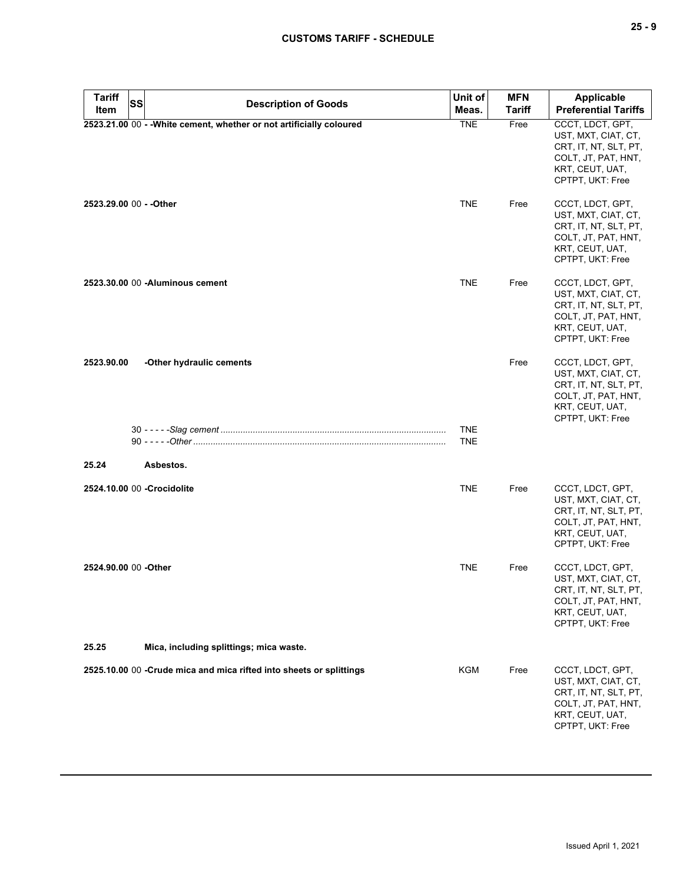| <b>Tariff</b><br>Item | <b>SS</b> | <b>Description of Goods</b>                                          | Unit of<br>Meas.         | <b>MFN</b><br><b>Tariff</b> | Applicable<br><b>Preferential Tariffs</b>                                                                                      |
|-----------------------|-----------|----------------------------------------------------------------------|--------------------------|-----------------------------|--------------------------------------------------------------------------------------------------------------------------------|
|                       |           | 2523.21.00 00 - - White cement, whether or not artificially coloured | <b>TNE</b>               | Free                        | CCCT, LDCT, GPT,<br>UST, MXT, CIAT, CT,<br>CRT, IT, NT, SLT, PT,<br>COLT, JT, PAT, HNT,<br>KRT, CEUT, UAT,<br>CPTPT, UKT: Free |
|                       |           |                                                                      | <b>TNE</b>               | Free                        | CCCT, LDCT, GPT,<br>UST, MXT, CIAT, CT,<br>CRT, IT, NT, SLT, PT,<br>COLT, JT, PAT, HNT,<br>KRT, CEUT, UAT,<br>CPTPT, UKT: Free |
|                       |           |                                                                      | <b>TNE</b>               | Free                        | CCCT, LDCT, GPT,<br>UST, MXT, CIAT, CT,<br>CRT, IT, NT, SLT, PT,<br>COLT, JT, PAT, HNT,<br>KRT, CEUT, UAT,<br>CPTPT, UKT: Free |
| 2523.90.00            |           | -Other hydraulic cements                                             |                          | Free                        | CCCT, LDCT, GPT,<br>UST, MXT, CIAT, CT,<br>CRT, IT, NT, SLT, PT,<br>COLT, JT, PAT, HNT,<br>KRT, CEUT, UAT,<br>CPTPT, UKT: Free |
|                       |           |                                                                      | <b>TNE</b><br><b>TNE</b> |                             |                                                                                                                                |
| 25.24                 |           | Asbestos.                                                            |                          |                             |                                                                                                                                |
|                       |           | 2524.10.00 00 - Crocidolite                                          | <b>TNE</b>               | Free                        | CCCT, LDCT, GPT,<br>UST, MXT, CIAT, CT,<br>CRT, IT, NT, SLT, PT,<br>COLT, JT, PAT, HNT,<br>KRT, CEUT, UAT,<br>CPTPT, UKT: Free |
| 2524.90.00 00 -Other  |           |                                                                      | <b>TNE</b>               | Free                        | CCCT, LDCT, GPT,<br>UST, MXT, CIAT, CT,<br>CRT, IT, NT, SLT, PT,<br>COLT, JT, PAT, HNT,<br>KRT, CEUT, UAT,<br>CPTPT, UKT: Free |
| 25.25                 |           | Mica, including splittings; mica waste.                              |                          |                             |                                                                                                                                |
|                       |           | 2525.10.00 00 -Crude mica and mica rifted into sheets or splittings  | KGM                      | Free                        | CCCT, LDCT, GPT,<br>UST, MXT, CIAT, CT,<br>CRT, IT, NT, SLT, PT,<br>COLT, JT, PAT, HNT,<br>KRT, CEUT, UAT,<br>CPTPT, UKT: Free |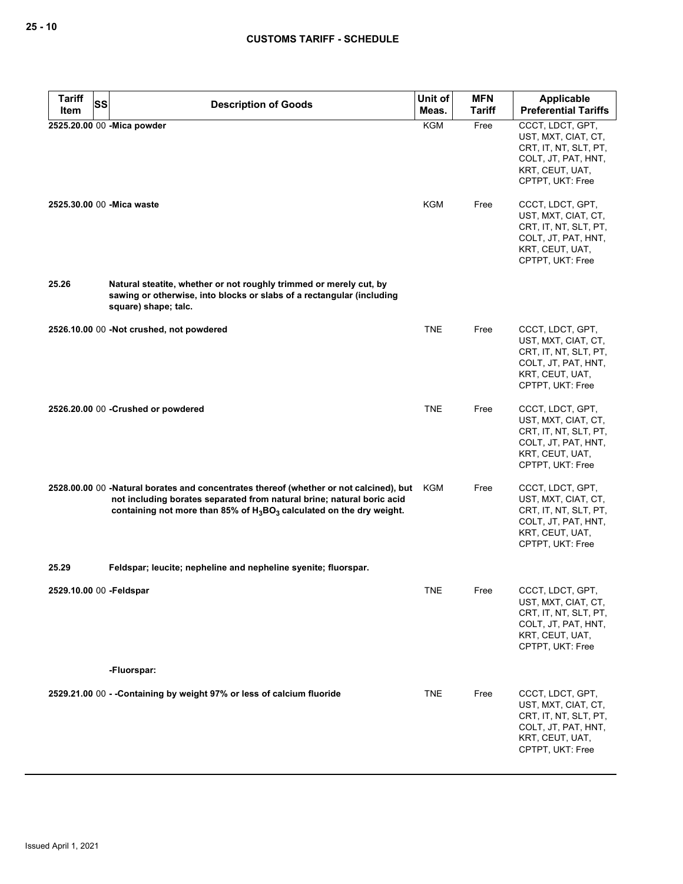| <b>Tariff</b>           | SS<br><b>Description of Goods</b>                                                                                                                                                                                                           | Unit of           | <b>MFN</b>    | <b>Applicable</b>                                                                                                                                                                                                         |
|-------------------------|---------------------------------------------------------------------------------------------------------------------------------------------------------------------------------------------------------------------------------------------|-------------------|---------------|---------------------------------------------------------------------------------------------------------------------------------------------------------------------------------------------------------------------------|
| Item                    |                                                                                                                                                                                                                                             | Meas.             | <b>Tariff</b> | <b>Preferential Tariffs</b>                                                                                                                                                                                               |
|                         | 2525.20.00 00 - Mica powder<br>2525.30.00 00 - Mica waste                                                                                                                                                                                   | <b>KGM</b><br>KGM | Free<br>Free  | CCCT, LDCT, GPT,<br>UST, MXT, CIAT, CT,<br>CRT, IT, NT, SLT, PT,<br>COLT, JT, PAT, HNT,<br>KRT, CEUT, UAT,<br>CPTPT, UKT: Free<br>CCCT, LDCT, GPT,<br>UST, MXT, CIAT, CT,<br>CRT, IT, NT, SLT, PT,<br>COLT, JT, PAT, HNT, |
| 25.26                   | Natural steatite, whether or not roughly trimmed or merely cut, by<br>sawing or otherwise, into blocks or slabs of a rectangular (including                                                                                                 |                   |               | KRT, CEUT, UAT,<br>CPTPT, UKT: Free                                                                                                                                                                                       |
|                         | square) shape; talc.                                                                                                                                                                                                                        |                   |               |                                                                                                                                                                                                                           |
|                         | 2526.10.00 00 -Not crushed, not powdered                                                                                                                                                                                                    | <b>TNE</b>        | Free          | CCCT, LDCT, GPT,<br>UST, MXT, CIAT, CT,<br>CRT, IT, NT, SLT, PT,<br>COLT, JT, PAT, HNT,<br>KRT, CEUT, UAT,<br>CPTPT, UKT: Free                                                                                            |
|                         | 2526.20.00 00 - Crushed or powdered                                                                                                                                                                                                         | <b>TNE</b>        | Free          | CCCT, LDCT, GPT,<br>UST, MXT, CIAT, CT,<br>CRT, IT, NT, SLT, PT,<br>COLT, JT, PAT, HNT,<br>KRT, CEUT, UAT,<br>CPTPT, UKT: Free                                                                                            |
|                         | 2528.00.00 00 -Natural borates and concentrates thereof (whether or not calcined), but<br>not including borates separated from natural brine; natural boric acid<br>containing not more than 85% of $H_3BO_3$ calculated on the dry weight. | KGM               | Free          | CCCT, LDCT, GPT,<br>UST, MXT, CIAT, CT,<br>CRT, IT, NT, SLT, PT,<br>COLT, JT, PAT, HNT,<br>KRT, CEUT, UAT,<br>CPTPT, UKT: Free                                                                                            |
| 25.29                   | Feldspar; leucite; nepheline and nepheline syenite; fluorspar.                                                                                                                                                                              |                   |               |                                                                                                                                                                                                                           |
| 2529.10.00 00 -Feldspar |                                                                                                                                                                                                                                             | <b>TNE</b>        | Free          | CCCT, LDCT, GPT,<br>UST, MXT, CIAT, CT,<br>CRT, IT, NT, SLT, PT,<br>COLT, JT, PAT, HNT,<br>KRT, CEUT, UAT,<br>CPTPT, UKT: Free                                                                                            |
|                         | -Fluorspar:                                                                                                                                                                                                                                 |                   |               |                                                                                                                                                                                                                           |
|                         | 2529.21.00 00 - - Containing by weight 97% or less of calcium fluoride                                                                                                                                                                      | <b>TNE</b>        | Free          | CCCT, LDCT, GPT,<br>UST, MXT, CIAT, CT,<br>CRT, IT, NT, SLT, PT,<br>COLT, JT, PAT, HNT,<br>KRT, CEUT, UAT,<br>CPTPT, UKT: Free                                                                                            |